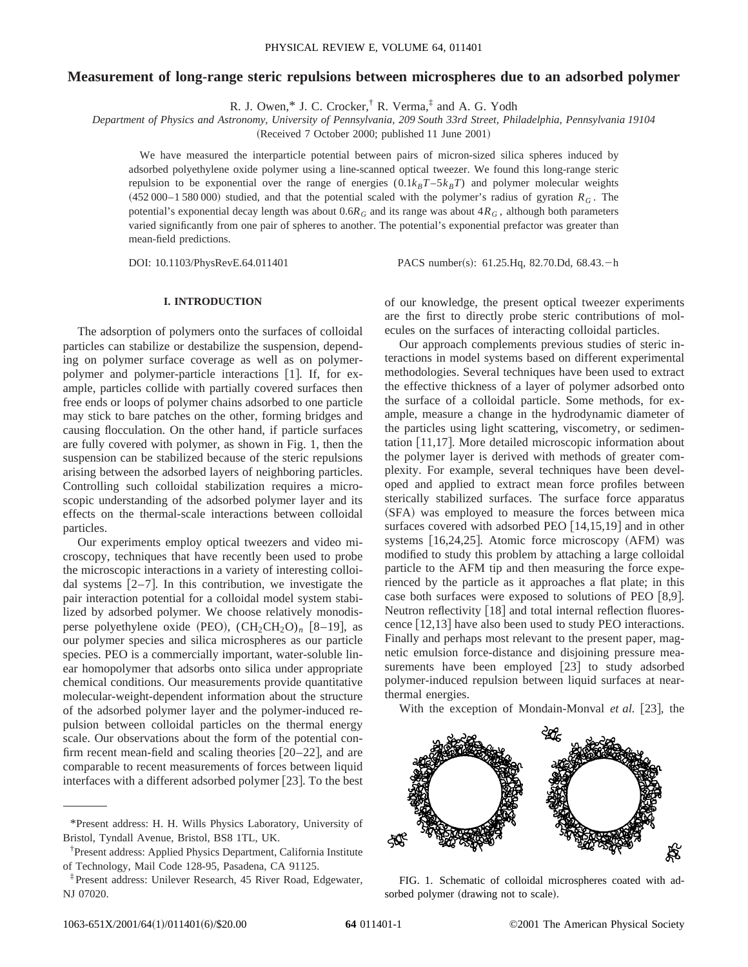# **Measurement of long-range steric repulsions between microspheres due to an adsorbed polymer**

R. J. Owen,\* J. C. Crocker,† R. Verma,‡ and A. G. Yodh

*Department of Physics and Astronomy, University of Pennsylvania, 209 South 33rd Street, Philadelphia, Pennsylvania 19104*

(Received 7 October 2000; published 11 June 2001)

We have measured the interparticle potential between pairs of micron-sized silica spheres induced by adsorbed polyethylene oxide polymer using a line-scanned optical tweezer. We found this long-range steric repulsion to be exponential over the range of energies  $(0.1k_BT-5k_BT)$  and polymer molecular weights  $(452\,000-1\,580\,000)$  studied, and that the potential scaled with the polymer's radius of gyration  $R_G$ . The potential's exponential decay length was about 0.6 $R_G$  and its range was about  $4R_G$ , although both parameters varied significantly from one pair of spheres to another. The potential's exponential prefactor was greater than mean-field predictions.

DOI: 10.1103/PhysRevE.64.011401 PACS number(s): 61.25.Hq, 82.70.Dd, 68.43.-h

## **I. INTRODUCTION**

The adsorption of polymers onto the surfaces of colloidal particles can stabilize or destabilize the suspension, depending on polymer surface coverage as well as on polymerpolymer and polymer-particle interactions [1]. If, for example, particles collide with partially covered surfaces then free ends or loops of polymer chains adsorbed to one particle may stick to bare patches on the other, forming bridges and causing flocculation. On the other hand, if particle surfaces are fully covered with polymer, as shown in Fig. 1, then the suspension can be stabilized because of the steric repulsions arising between the adsorbed layers of neighboring particles. Controlling such colloidal stabilization requires a microscopic understanding of the adsorbed polymer layer and its effects on the thermal-scale interactions between colloidal particles.

Our experiments employ optical tweezers and video microscopy, techniques that have recently been used to probe the microscopic interactions in a variety of interesting colloidal systems  $[2-7]$ . In this contribution, we investigate the pair interaction potential for a colloidal model system stabilized by adsorbed polymer. We choose relatively monodisperse polyethylene oxide  $(PEO)$ ,  $(CH_2CH_2O)$ <sub>n</sub>  $[8-19]$ , as our polymer species and silica microspheres as our particle species. PEO is a commercially important, water-soluble linear homopolymer that adsorbs onto silica under appropriate chemical conditions. Our measurements provide quantitative molecular-weight-dependent information about the structure of the adsorbed polymer layer and the polymer-induced repulsion between colloidal particles on the thermal energy scale. Our observations about the form of the potential confirm recent mean-field and scaling theories  $[20-22]$ , and are comparable to recent measurements of forces between liquid interfaces with a different adsorbed polymer  $[23]$ . To the best of our knowledge, the present optical tweezer experiments are the first to directly probe steric contributions of molecules on the surfaces of interacting colloidal particles.

Our approach complements previous studies of steric interactions in model systems based on different experimental methodologies. Several techniques have been used to extract the effective thickness of a layer of polymer adsorbed onto the surface of a colloidal particle. Some methods, for example, measure a change in the hydrodynamic diameter of the particles using light scattering, viscometry, or sedimentation  $[11,17]$ . More detailed microscopic information about the polymer layer is derived with methods of greater complexity. For example, several techniques have been developed and applied to extract mean force profiles between sterically stabilized surfaces. The surface force apparatus (SFA) was employed to measure the forces between mica surfaces covered with adsorbed PEO  $[14,15,19]$  and in other systems  $[16,24,25]$ . Atomic force microscopy  $(AFM)$  was modified to study this problem by attaching a large colloidal particle to the AFM tip and then measuring the force experienced by the particle as it approaches a flat plate; in this case both surfaces were exposed to solutions of PEO  $[8,9]$ . Neutron reflectivity [18] and total internal reflection fluorescence  $[12,13]$  have also been used to study PEO interactions. Finally and perhaps most relevant to the present paper, magnetic emulsion force-distance and disjoining pressure measurements have been employed  $\lceil 23 \rceil$  to study adsorbed polymer-induced repulsion between liquid surfaces at nearthermal energies.

With the exception of Mondain-Monval *et al.* [23], the



FIG. 1. Schematic of colloidal microspheres coated with adsorbed polymer (drawing not to scale).

<sup>\*</sup>Present address: H. H. Wills Physics Laboratory, University of Bristol, Tyndall Avenue, Bristol, BS8 1TL, UK.

<sup>†</sup> Present address: Applied Physics Department, California Institute of Technology, Mail Code 128-95, Pasadena, CA 91125.

<sup>‡</sup>Present address: Unilever Research, 45 River Road, Edgewater, NJ 07020.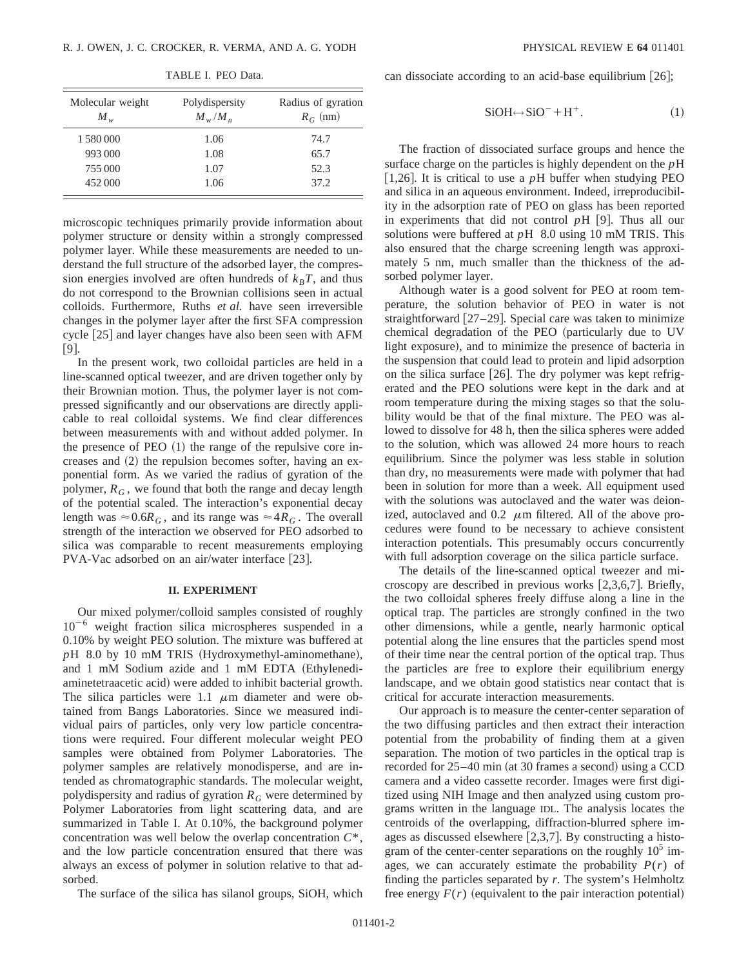| Molecular weight<br>$M_{w}$ | Polydispersity<br>$M_{w}/M_{n}$ | Radius of gyration<br>$R_G$ (nm) |
|-----------------------------|---------------------------------|----------------------------------|
| 1580000                     | 1.06                            | 74.7                             |
| 993 000                     | 1.08                            | 65.7                             |
| 755 000                     | 1.07                            | 52.3                             |
| 452 000                     | 1.06                            | 37.2                             |

TABLE I. PEO Data.

microscopic techniques primarily provide information about polymer structure or density within a strongly compressed polymer layer. While these measurements are needed to understand the full structure of the adsorbed layer, the compression energies involved are often hundreds of  $k_B T$ , and thus do not correspond to the Brownian collisions seen in actual colloids. Furthermore, Ruths *et al.* have seen irreversible changes in the polymer layer after the first SFA compression cycle [25] and layer changes have also been seen with AFM  $[9]$ .

In the present work, two colloidal particles are held in a line-scanned optical tweezer, and are driven together only by their Brownian motion. Thus, the polymer layer is not compressed significantly and our observations are directly applicable to real colloidal systems. We find clear differences between measurements with and without added polymer. In the presence of  $PEO (1)$  the range of the repulsive core increases and  $(2)$  the repulsion becomes softer, having an exponential form. As we varied the radius of gyration of the polymer,  $R_G$ , we found that both the range and decay length of the potential scaled. The interaction's exponential decay length was  $\approx 0.6R_G$ , and its range was  $\approx 4R_G$ . The overall strength of the interaction we observed for PEO adsorbed to silica was comparable to recent measurements employing  $PVA-Vac$  adsorbed on an air/water interface [23].

## **II. EXPERIMENT**

Our mixed polymer/colloid samples consisted of roughly  $10^{-6}$  weight fraction silica microspheres suspended in a 0.10% by weight PEO solution. The mixture was buffered at  $pH$  8.0 by 10 mM TRIS (Hydroxymethyl-aminomethane), and  $1 \text{ mM}$  Sodium azide and  $1 \text{ mM}$  EDTA (Ethylenediaminetetraacetic acid) were added to inhibit bacterial growth. The silica particles were 1.1  $\mu$ m diameter and were obtained from Bangs Laboratories. Since we measured individual pairs of particles, only very low particle concentrations were required. Four different molecular weight PEO samples were obtained from Polymer Laboratories. The polymer samples are relatively monodisperse, and are intended as chromatographic standards. The molecular weight, polydispersity and radius of gyration  $R_G$  were determined by Polymer Laboratories from light scattering data, and are summarized in Table I. At 0.10%, the background polymer concentration was well below the overlap concentration *C*\*, and the low particle concentration ensured that there was always an excess of polymer in solution relative to that adsorbed.

The surface of the silica has silanol groups, SiOH, which

can dissociate according to an acid-base equilibrium  $(26);$ 

$$
SiOH \leftrightarrow SiO^- + H^+. \tag{1}
$$

The fraction of dissociated surface groups and hence the surface charge on the particles is highly dependent on the *p*H [1,26]. It is critical to use a  $p$ H buffer when studying PEO and silica in an aqueous environment. Indeed, irreproducibility in the adsorption rate of PEO on glass has been reported in experiments that did not control  $pH$  [9]. Thus all our solutions were buffered at *p*H 8.0 using 10 mM TRIS. This also ensured that the charge screening length was approximately 5 nm, much smaller than the thickness of the adsorbed polymer layer.

Although water is a good solvent for PEO at room temperature, the solution behavior of PEO in water is not straightforward  $[27–29]$ . Special care was taken to minimize chemical degradation of the PEO (particularly due to UV light exposure), and to minimize the presence of bacteria in the suspension that could lead to protein and lipid adsorption on the silica surface  $[26]$ . The dry polymer was kept refrigerated and the PEO solutions were kept in the dark and at room temperature during the mixing stages so that the solubility would be that of the final mixture. The PEO was allowed to dissolve for 48 h, then the silica spheres were added to the solution, which was allowed 24 more hours to reach equilibrium. Since the polymer was less stable in solution than dry, no measurements were made with polymer that had been in solution for more than a week. All equipment used with the solutions was autoclaved and the water was deionized, autoclaved and  $0.2 \mu m$  filtered. All of the above procedures were found to be necessary to achieve consistent interaction potentials. This presumably occurs concurrently with full adsorption coverage on the silica particle surface.

The details of the line-scanned optical tweezer and microscopy are described in previous works  $[2,3,6,7]$ . Briefly, the two colloidal spheres freely diffuse along a line in the optical trap. The particles are strongly confined in the two other dimensions, while a gentle, nearly harmonic optical potential along the line ensures that the particles spend most of their time near the central portion of the optical trap. Thus the particles are free to explore their equilibrium energy landscape, and we obtain good statistics near contact that is critical for accurate interaction measurements.

Our approach is to measure the center-center separation of the two diffusing particles and then extract their interaction potential from the probability of finding them at a given separation. The motion of two particles in the optical trap is recorded for 25–40 min (at 30 frames a second) using a CCD camera and a video cassette recorder. Images were first digitized using NIH Image and then analyzed using custom programs written in the language IDL. The analysis locates the centroids of the overlapping, diffraction-blurred sphere images as discussed elsewhere  $[2,3,7]$ . By constructing a histogram of the center-center separations on the roughly  $10^5$  images, we can accurately estimate the probability  $P(r)$  of finding the particles separated by *r*. The system's Helmholtz free energy  $F(r)$  (equivalent to the pair interaction potential)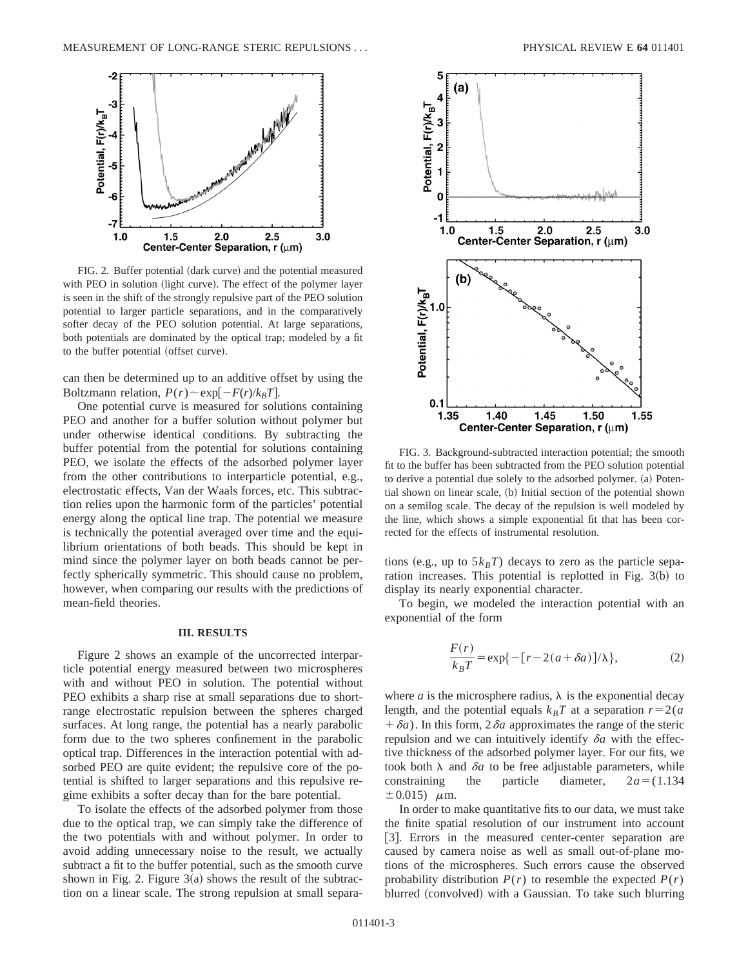

FIG. 2. Buffer potential (dark curve) and the potential measured with PEO in solution (light curve). The effect of the polymer layer is seen in the shift of the strongly repulsive part of the PEO solution potential to larger particle separations, and in the comparatively softer decay of the PEO solution potential. At large separations, both potentials are dominated by the optical trap; modeled by a fit to the buffer potential (offset curve).

can then be determined up to an additive offset by using the Boltzmann relation,  $P(r) \sim \exp[-F(r)/k_BT]$ .

One potential curve is measured for solutions containing PEO and another for a buffer solution without polymer but under otherwise identical conditions. By subtracting the buffer potential from the potential for solutions containing PEO, we isolate the effects of the adsorbed polymer layer from the other contributions to interparticle potential, e.g., electrostatic effects, Van der Waals forces, etc. This subtraction relies upon the harmonic form of the particles' potential energy along the optical line trap. The potential we measure is technically the potential averaged over time and the equilibrium orientations of both beads. This should be kept in mind since the polymer layer on both beads cannot be perfectly spherically symmetric. This should cause no problem, however, when comparing our results with the predictions of mean-field theories.

#### **III. RESULTS**

Figure 2 shows an example of the uncorrected interparticle potential energy measured between two microspheres with and without PEO in solution. The potential without PEO exhibits a sharp rise at small separations due to shortrange electrostatic repulsion between the spheres charged surfaces. At long range, the potential has a nearly parabolic form due to the two spheres confinement in the parabolic optical trap. Differences in the interaction potential with adsorbed PEO are quite evident; the repulsive core of the potential is shifted to larger separations and this repulsive regime exhibits a softer decay than for the bare potential.

To isolate the effects of the adsorbed polymer from those due to the optical trap, we can simply take the difference of the two potentials with and without polymer. In order to avoid adding unnecessary noise to the result, we actually subtract a fit to the buffer potential, such as the smooth curve shown in Fig. 2. Figure  $3(a)$  shows the result of the subtraction on a linear scale. The strong repulsion at small separa-



FIG. 3. Background-subtracted interaction potential; the smooth fit to the buffer has been subtracted from the PEO solution potential to derive a potential due solely to the adsorbed polymer. (a) Potential shown on linear scale, (b) Initial section of the potential shown on a semilog scale. The decay of the repulsion is well modeled by the line, which shows a simple exponential fit that has been corrected for the effects of instrumental resolution.

tions (e.g., up to  $5k_BT$ ) decays to zero as the particle separation increases. This potential is replotted in Fig.  $3(b)$  to display its nearly exponential character.

To begin, we modeled the interaction potential with an exponential of the form

$$
\frac{F(r)}{k_B T} = \exp\{-\left[r - 2(a + \delta a)\right]/\lambda\},\tag{2}
$$

where *a* is the microsphere radius,  $\lambda$  is the exponential decay length, and the potential equals  $k_BT$  at a separation  $r=2(a$  $\partial^2 \delta a$ ). In this form,  $2\delta a$  approximates the range of the steric repulsion and we can intuitively identify  $\delta a$  with the effective thickness of the adsorbed polymer layer. For our fits, we took both  $\lambda$  and  $\delta a$  to be free adjustable parameters, while constraining the particle diameter,  $2a = (1.134)$  $\pm 0.015$ )  $\mu$ m.

In order to make quantitative fits to our data, we must take the finite spatial resolution of our instrument into account [3]. Errors in the measured center-center separation are caused by camera noise as well as small out-of-plane motions of the microspheres. Such errors cause the observed probability distribution  $P(r)$  to resemble the expected  $P(r)$ blurred (convolved) with a Gaussian. To take such blurring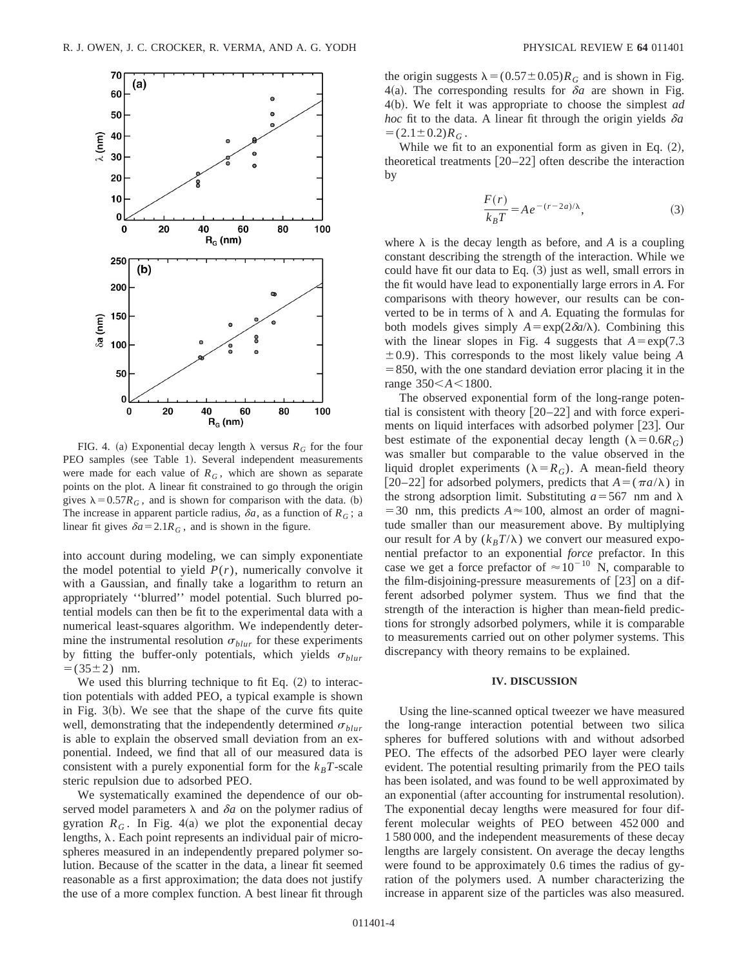

FIG. 4. (a) Exponential decay length  $\lambda$  versus  $R_G$  for the four PEO samples (see Table 1). Several independent measurements were made for each value of  $R_G$ , which are shown as separate points on the plot. A linear fit constrained to go through the origin gives  $\lambda = 0.57R_G$ , and is shown for comparison with the data. (b) The increase in apparent particle radius,  $\delta a$ , as a function of  $R_G$ ; a linear fit gives  $\delta a = 2.1 R_G$ , and is shown in the figure.

into account during modeling, we can simply exponentiate the model potential to yield  $P(r)$ , numerically convolve it with a Gaussian, and finally take a logarithm to return an appropriately ''blurred'' model potential. Such blurred potential models can then be fit to the experimental data with a numerical least-squares algorithm. We independently determine the instrumental resolution  $\sigma_{blur}$  for these experiments by fitting the buffer-only potentials, which yields  $\sigma_{blur}$  $= (35 \pm 2)$  nm.

We used this blurring technique to fit Eq.  $(2)$  to interaction potentials with added PEO, a typical example is shown in Fig.  $3(b)$ . We see that the shape of the curve fits quite well, demonstrating that the independently determined  $\sigma_{blur}$ is able to explain the observed small deviation from an exponential. Indeed, we find that all of our measured data is consistent with a purely exponential form for the  $k_B T$ -scale steric repulsion due to adsorbed PEO.

We systematically examined the dependence of our observed model parameters  $\lambda$  and  $\delta a$  on the polymer radius of gyration  $R_G$ . In Fig. 4(a) we plot the exponential decay lengths,  $\lambda$ . Each point represents an individual pair of microspheres measured in an independently prepared polymer solution. Because of the scatter in the data, a linear fit seemed reasonable as a first approximation; the data does not justify the use of a more complex function. A best linear fit through the origin suggests  $\lambda = (0.57 \pm 0.05)R_G$  and is shown in Fig. 4(a). The corresponding results for  $\delta a$  are shown in Fig. 4~b!. We felt it was appropriate to choose the simplest *ad hoc* fit to the data. A linear fit through the origin yields  $\delta a$  $= (2.1 \pm 0.2) R_G$ .

While we fit to an exponential form as given in Eq.  $(2)$ , theoretical treatments  $[20-22]$  often describe the interaction by

$$
\frac{F(r)}{k_B T} = A e^{-(r-2a)/\lambda},\tag{3}
$$

where  $\lambda$  is the decay length as before, and *A* is a coupling constant describing the strength of the interaction. While we could have fit our data to Eq.  $(3)$  just as well, small errors in the fit would have lead to exponentially large errors in *A*. For comparisons with theory however, our results can be converted to be in terms of  $\lambda$  and A. Equating the formulas for both models gives simply  $A = \exp(2\delta a/\lambda)$ . Combining this with the linear slopes in Fig. 4 suggests that  $A = \exp(7.3$  $\pm$ 0.9). This corresponds to the most likely value being *A*  $= 850$ , with the one standard deviation error placing it in the range  $350 < A < 1800$ .

The observed exponential form of the long-range potential is consistent with theory  $\lceil 20-22 \rceil$  and with force experiments on liquid interfaces with adsorbed polymer  $[23]$ . Our best estimate of the exponential decay length ( $\lambda = 0.6R_G$ ) was smaller but comparable to the value observed in the liquid droplet experiments ( $\lambda = R_G$ ). A mean-field theory [20–22] for adsorbed polymers, predicts that  $A = (\pi a/\lambda)$  in the strong adsorption limit. Substituting  $a = 567$  nm and  $\lambda$  $=$  30 nm, this predicts  $A \approx 100$ , almost an order of magnitude smaller than our measurement above. By multiplying our result for *A* by  $(k_B T/\lambda)$  we convert our measured exponential prefactor to an exponential *force* prefactor. In this case we get a force prefactor of  $\approx 10^{-10}$  N, comparable to the film-disjoining-pressure measurements of  $[23]$  on a different adsorbed polymer system. Thus we find that the strength of the interaction is higher than mean-field predictions for strongly adsorbed polymers, while it is comparable to measurements carried out on other polymer systems. This discrepancy with theory remains to be explained.

## **IV. DISCUSSION**

Using the line-scanned optical tweezer we have measured the long-range interaction potential between two silica spheres for buffered solutions with and without adsorbed PEO. The effects of the adsorbed PEO layer were clearly evident. The potential resulting primarily from the PEO tails has been isolated, and was found to be well approximated by an exponential (after accounting for instrumental resolution). The exponential decay lengths were measured for four different molecular weights of PEO between 452 000 and 1 580 000, and the independent measurements of these decay lengths are largely consistent. On average the decay lengths were found to be approximately 0.6 times the radius of gyration of the polymers used. A number characterizing the increase in apparent size of the particles was also measured.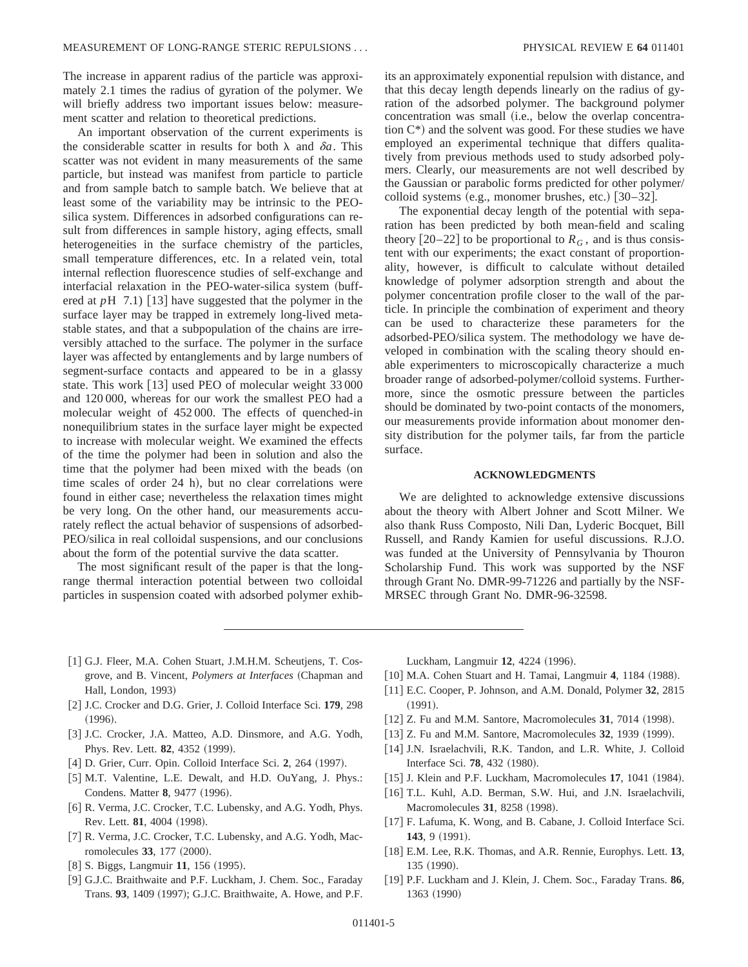The increase in apparent radius of the particle was approximately 2.1 times the radius of gyration of the polymer. We will briefly address two important issues below: measurement scatter and relation to theoretical predictions.

An important observation of the current experiments is the considerable scatter in results for both  $\lambda$  and  $\delta a$ . This scatter was not evident in many measurements of the same particle, but instead was manifest from particle to particle and from sample batch to sample batch. We believe that at least some of the variability may be intrinsic to the PEOsilica system. Differences in adsorbed configurations can result from differences in sample history, aging effects, small heterogeneities in the surface chemistry of the particles, small temperature differences, etc. In a related vein, total internal reflection fluorescence studies of self-exchange and interfacial relaxation in the PEO-water-silica system (buffered at  $pH$  7.1) [13] have suggested that the polymer in the surface layer may be trapped in extremely long-lived metastable states, and that a subpopulation of the chains are irreversibly attached to the surface. The polymer in the surface layer was affected by entanglements and by large numbers of segment-surface contacts and appeared to be in a glassy state. This work  $\lceil 13 \rceil$  used PEO of molecular weight 33 000 and 120 000, whereas for our work the smallest PEO had a molecular weight of 452 000. The effects of quenched-in nonequilibrium states in the surface layer might be expected to increase with molecular weight. We examined the effects of the time the polymer had been in solution and also the time that the polymer had been mixed with the beads (on time scales of order  $24$  h), but no clear correlations were found in either case; nevertheless the relaxation times might be very long. On the other hand, our measurements accurately reflect the actual behavior of suspensions of adsorbed-PEO/silica in real colloidal suspensions, and our conclusions about the form of the potential survive the data scatter.

The most significant result of the paper is that the longrange thermal interaction potential between two colloidal particles in suspension coated with adsorbed polymer exhibits an approximately exponential repulsion with distance, and that this decay length depends linearly on the radius of gyration of the adsorbed polymer. The background polymer concentration was small (i.e., below the overlap concentration  $C^*$ ) and the solvent was good. For these studies we have employed an experimental technique that differs qualitatively from previous methods used to study adsorbed polymers. Clearly, our measurements are not well described by the Gaussian or parabolic forms predicted for other polymer/ colloid systems (e.g., monomer brushes, etc.)  $\left[30-32\right]$ .

The exponential decay length of the potential with separation has been predicted by both mean-field and scaling theory  $[20-22]$  to be proportional to  $R_G$ , and is thus consistent with our experiments; the exact constant of proportionality, however, is difficult to calculate without detailed knowledge of polymer adsorption strength and about the polymer concentration profile closer to the wall of the particle. In principle the combination of experiment and theory can be used to characterize these parameters for the adsorbed-PEO/silica system. The methodology we have developed in combination with the scaling theory should enable experimenters to microscopically characterize a much broader range of adsorbed-polymer/colloid systems. Furthermore, since the osmotic pressure between the particles should be dominated by two-point contacts of the monomers, our measurements provide information about monomer density distribution for the polymer tails, far from the particle surface.

## **ACKNOWLEDGMENTS**

We are delighted to acknowledge extensive discussions about the theory with Albert Johner and Scott Milner. We also thank Russ Composto, Nili Dan, Lyderic Bocquet, Bill Russell, and Randy Kamien for useful discussions. R.J.O. was funded at the University of Pennsylvania by Thouron Scholarship Fund. This work was supported by the NSF through Grant No. DMR-99-71226 and partially by the NSF-MRSEC through Grant No. DMR-96-32598.

- [1] G.J. Fleer, M.A. Cohen Stuart, J.M.H.M. Scheutjens, T. Cosgrove, and B. Vincent, *Polymers at Interfaces* (Chapman and Hall, London, 1993)
- [2] J.C. Crocker and D.G. Grier, J. Colloid Interface Sci. 179, 298  $(1996).$
- [3] J.C. Crocker, J.A. Matteo, A.D. Dinsmore, and A.G. Yodh, Phys. Rev. Lett. **82**, 4352 (1999).
- [4] D. Grier, Curr. Opin. Colloid Interface Sci. 2, 264 (1997).
- [5] M.T. Valentine, L.E. Dewalt, and H.D. OuYang, J. Phys.: Condens. Matter 8, 9477 (1996).
- [6] R. Verma, J.C. Crocker, T.C. Lubensky, and A.G. Yodh, Phys. Rev. Lett. **81**, 4004 (1998).
- [7] R. Verma, J.C. Crocker, T.C. Lubensky, and A.G. Yodh, Macromolecules 33, 177 (2000).
- [8] S. Biggs, Langmuir 11, 156 (1995).
- [9] G.J.C. Braithwaite and P.F. Luckham, J. Chem. Soc., Faraday Trans. 93, 1409 (1997); G.J.C. Braithwaite, A. Howe, and P.F.

Luckham, Langmuir 12, 4224 (1996).

- [10] M.A. Cohen Stuart and H. Tamai, Langmuir 4, 1184 (1988).
- [11] E.C. Cooper, P. Johnson, and A.M. Donald, Polymer 32, 2815  $(1991).$
- [12] Z. Fu and M.M. Santore, Macromolecules 31, 7014 (1998).
- [13] Z. Fu and M.M. Santore, Macromolecules **32**, 1939 (1999).
- [14] J.N. Israelachvili, R.K. Tandon, and L.R. White, J. Colloid Interface Sci. 78, 432 (1980).
- [15] J. Klein and P.F. Luckham, Macromolecules 17, 1041 (1984).
- [16] T.L. Kuhl, A.D. Berman, S.W. Hui, and J.N. Israelachvili, Macromolecules **31**, 8258 (1998).
- [17] F. Lafuma, K. Wong, and B. Cabane, J. Colloid Interface Sci. **143**, 9 (1991).
- @18# E.M. Lee, R.K. Thomas, and A.R. Rennie, Europhys. Lett. **13**,  $135 (1990).$
- @19# P.F. Luckham and J. Klein, J. Chem. Soc., Faraday Trans. **86**, 1363 (1990)